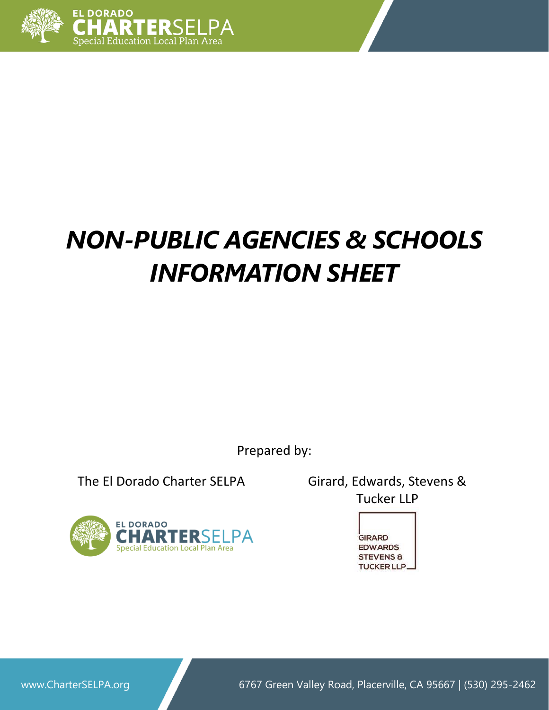

# *NON-PUBLIC AGENCIES & SCHOOLS INFORMATION SHEET*

Prepared by:

The El Dorado Charter SELPA Girard, Edwards, Stevens &



Tucker LLP



www.CharterSELPA.org **6767 Green Valley Road, Placerville, CA 95667** | (530) 295-2462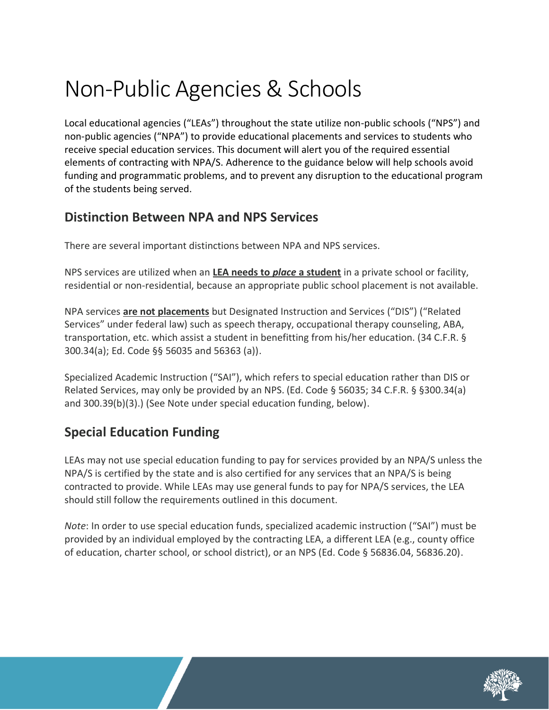## Non-Public Agencies & Schools

Local educational agencies ("LEAs") throughout the state utilize non-public schools ("NPS") and non-public agencies ("NPA") to provide educational placements and services to students who receive special education services. This document will alert you of the required essential elements of contracting with NPA/S. Adherence to the guidance below will help schools avoid funding and programmatic problems, and to prevent any disruption to the educational program of the students being served.

## **Distinction Between NPA and NPS Services**

There are several important distinctions between NPA and NPS services.

NPS services are utilized when an **LEA needs to** *place* **a student** in a private school or facility, residential or non-residential, because an appropriate public school placement is not available.

NPA services **are not placements** but Designated Instruction and Services ("DIS") ("Related Services" under federal law) such as speech therapy, occupational therapy counseling, ABA, transportation, etc. which assist a student in benefitting from his/her education. (34 C.F.R. § 300.34(a); Ed. Code §§ 56035 and 56363 (a)).

Specialized Academic Instruction ("SAI"), which refers to special education rather than DIS or Related Services, may only be provided by an NPS. (Ed. Code § 56035; 34 C.F.R. § §300.34(a) and 300.39(b)(3).) (See Note under special education funding, below).

## **Special Education Funding**

LEAs may not use special education funding to pay for services provided by an NPA/S unless the NPA/S is certified by the state and is also certified for any services that an NPA/S is being contracted to provide. While LEAs may use general funds to pay for NPA/S services, the LEA should still follow the requirements outlined in this document.

*Note*: In order to use special education funds, specialized academic instruction ("SAI") must be provided by an individual employed by the contracting LEA, a different LEA (e.g., county office of education, charter school, or school district), or an NPS (Ed. Code § 56836.04, 56836.20).

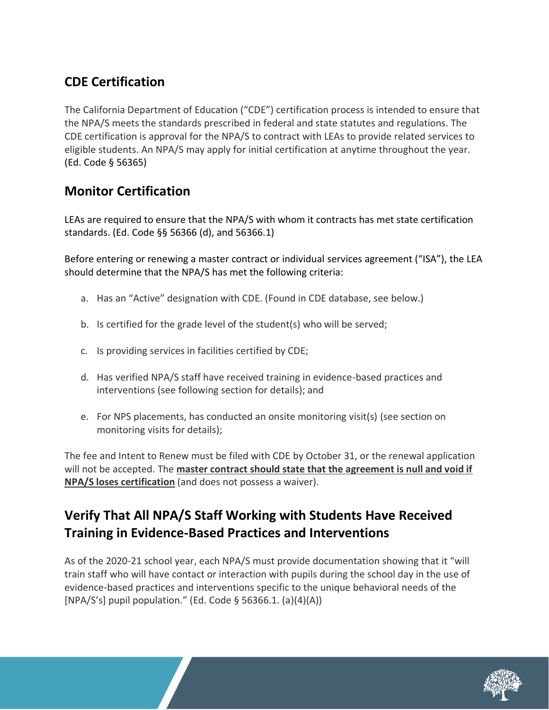## **CDE Certification**

The California Department of Education ("CDE") certification process is intended to ensure that the NPA/S meets the standards prescribed in federal and state statutes and regulations. The CDE certification is approval for the NPA/S to contract with LEAs to provide related services to eligible students. An NPA/S may apply for initial certification at anytime throughout the year. (Ed. Code § 56365)

## **Monitor Certification**

LEAs are required to ensure that the NPA/S with whom it contracts has met state certification standards. (Ed. Code §§ 56366 (d), and 56366.1)

Before entering or renewing a master contract or individual services agreement ("ISA"), the LEA should determine that the NPA/S has met the following criteria:

- a. Has an "Active" designation with CDE. (Found in CDE database, see below.)
- b. Is certified for the grade level of the student(s) who will be served;
- c. Is providing services in facilities certified by CDE;
- d. Has verified NPA/S staff have received training in evidence-based practices and interventions (see following section for details); and
- e. For NPS placements, has conducted an onsite monitoring visit(s) (see section on monitoring visits for details);

The fee and Intent to Renew must be filed with CDE by October 31, or the renewal application will not be accepted. The **master contract should state that the agreement is null and void if NPA/S loses certification** (and does not possess a waiver).

## **Verify That All NPA/S Staff Working with Students Have Received Training in Evidence-Based Practices and Interventions**

As of the 2020-21 school year, each NPA/S must provide documentation showing that it "will train staff who will have contact or interaction with pupils during the school day in the use of evidence-based practices and interventions specific to the unique behavioral needs of the [NPA/S's] pupil population." (Ed. Code § 56366.1. (a)(4)(A))

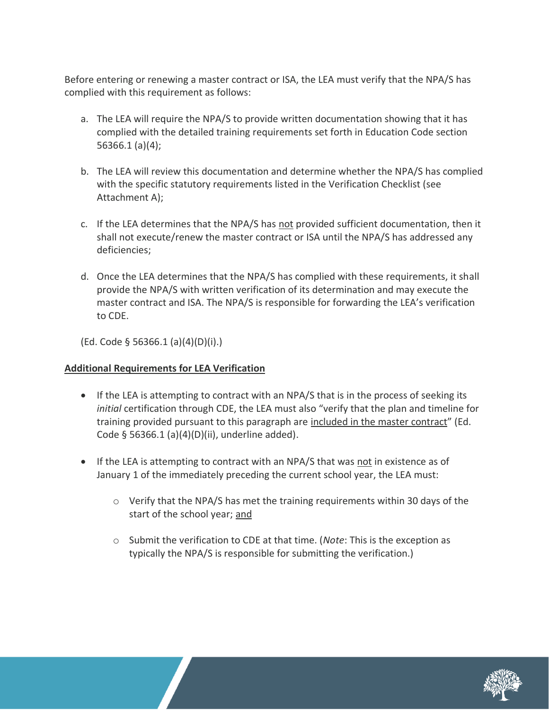Before entering or renewing a master contract or ISA, the LEA must verify that the NPA/S has complied with this requirement as follows:

- a. The LEA will require the NPA/S to provide written documentation showing that it has complied with the detailed training requirements set forth in Education Code section 56366.1 (a)(4);
- b. The LEA will review this documentation and determine whether the NPA/S has complied with the specific statutory requirements listed in the Verification Checklist (see Attachment A);
- c. If the LEA determines that the NPA/S has not provided sufficient documentation, then it shall not execute/renew the master contract or ISA until the NPA/S has addressed any deficiencies;
- d. Once the LEA determines that the NPA/S has complied with these requirements, it shall provide the NPA/S with written verification of its determination and may execute the master contract and ISA. The NPA/S is responsible for forwarding the LEA's verification to CDE.

(Ed. Code § 56366.1 (a)(4)(D)(i).)

#### **Additional Requirements for LEA Verification**

- If the LEA is attempting to contract with an NPA/S that is in the process of seeking its *initial* certification through CDE, the LEA must also "verify that the plan and timeline for training provided pursuant to this paragraph are included in the master contract" (Ed. Code § 56366.1 (a)(4)(D)(ii), underline added).
- If the LEA is attempting to contract with an NPA/S that was not in existence as of January 1 of the immediately preceding the current school year, the LEA must:
	- $\circ$  Verify that the NPA/S has met the training requirements within 30 days of the start of the school year; and
	- o Submit the verification to CDE at that time. (*Note*: This is the exception as typically the NPA/S is responsible for submitting the verification.)

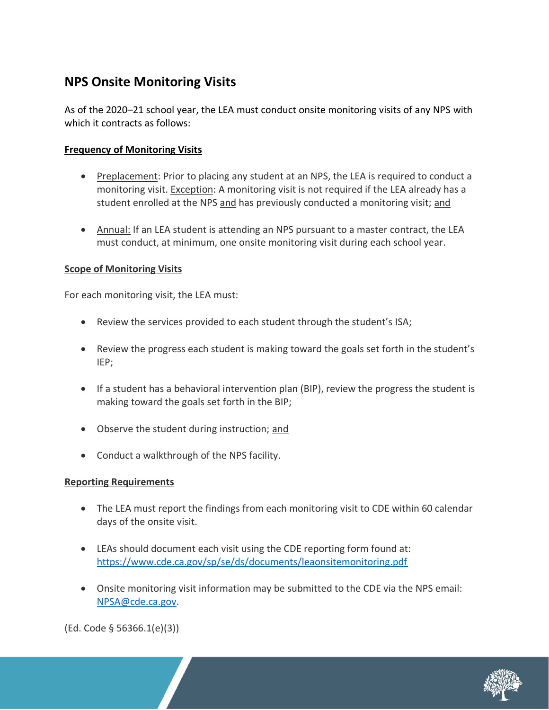### **NPS Onsite Monitoring Visits**

As of the 2020–21 school year, the LEA must conduct onsite monitoring visits of any NPS with which it contracts as follows:

#### **Frequency of Monitoring Visits**

- Preplacement: Prior to placing any student at an NPS, the LEA is required to conduct a monitoring visit. Exception: A monitoring visit is not required if the LEA already has a student enrolled at the NPS and has previously conducted a monitoring visit; and
- Annual: If an LEA student is attending an NPS pursuant to a master contract, the LEA must conduct, at minimum, one onsite monitoring visit during each school year.

#### **Scope of Monitoring Visits**

For each monitoring visit, the LEA must:

- Review the services provided to each student through the student's ISA;
- Review the progress each student is making toward the goals set forth in the student's IEP;
- If a student has a behavioral intervention plan (BIP), review the progress the student is making toward the goals set forth in the BIP;
- Observe the student during instruction; and
- Conduct a walkthrough of the NPS facility.

#### **Reporting Requirements**

- The LEA must report the findings from each monitoring visit to CDE within 60 calendar days of the onsite visit.
- LEAs should document each visit using the CDE reporting form found at: <https://www.cde.ca.gov/sp/se/ds/documents/leaonsitemonitoring.pdf>
- Onsite monitoring visit information may be submitted to the CDE via the NPS email: [NPSA@cde.ca.gov.](mailto:NPSA@cde.ca.gov)

(Ed. Code § 56366.1(e)(3))

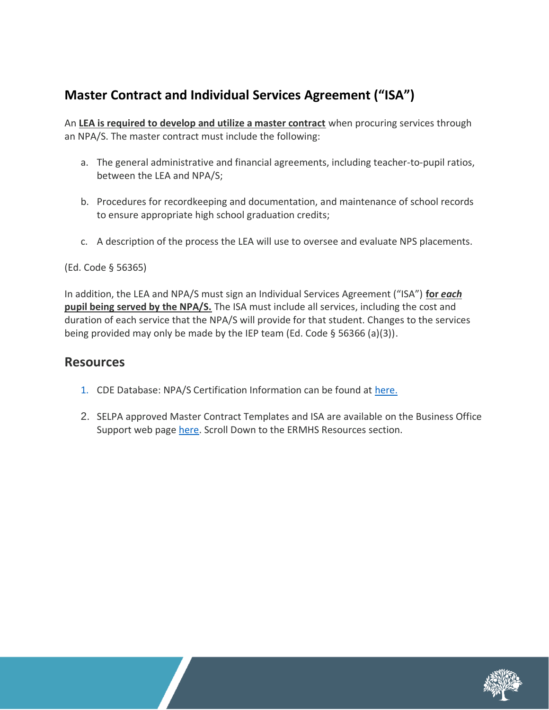## **Master Contract and Individual Services Agreement ("ISA")**

An **LEA is required to develop and utilize a master contract** when procuring services through an NPA/S. The master contract must include the following:

- a. The general administrative and financial agreements, including teacher-to-pupil ratios, between the LEA and NPA/S;
- b. Procedures for recordkeeping and documentation, and maintenance of school records to ensure appropriate high school graduation credits;
- c. A description of the process the LEA will use to oversee and evaluate NPS placements.

#### (Ed. Code § 56365)

In addition, the LEA and NPA/S must sign an Individual Services Agreement ("ISA") **for** *each*  **pupil being served by the NPA/S.** The ISA must include all services, including the cost and duration of each service that the NPA/S will provide for that student. Changes to the services being provided may only be made by the IEP team (Ed. Code § 56366 (a)(3)).

#### **Resources**

- 1. CDE Database: NPA/S Certification Information can be found at [here.](https://www.cde.ca.gov/sp/se/ds/)
- 2. SELPA approved Master Contract Templates and ISA are available on the Business Office Support web page [here.](http://charterselpa.org/fiscal/) Scroll Down to the ERMHS Resources section.